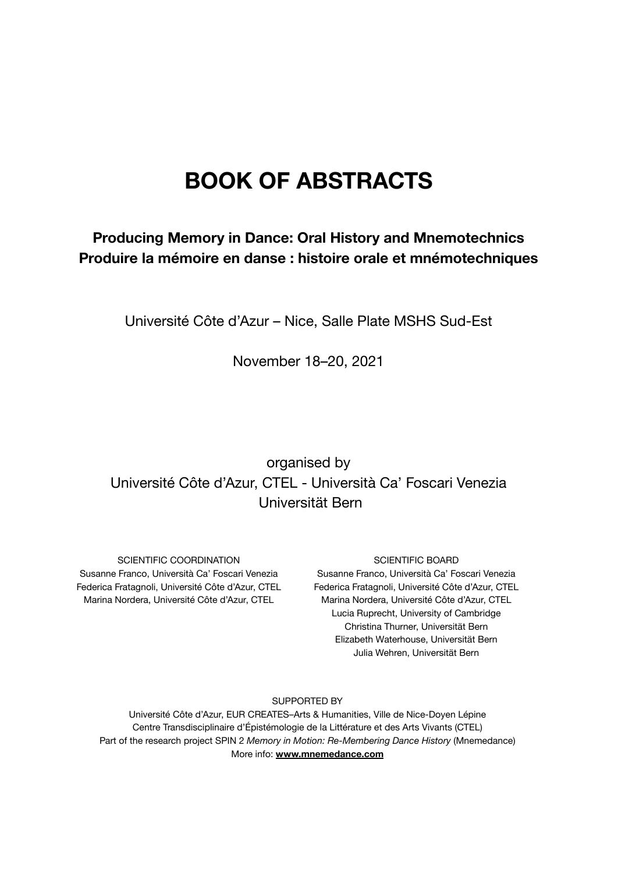# **BOOK OF ABSTRACTS**

#### **Producing Memory in Dance: Oral History and Mnemotechnics Produire la mémoire en danse : histoire orale et mnémotechniques**

Université Côte d'Azur – Nice, Salle Plate MSHS Sud-Est

November 18–20, 2021

### organised by Université Côte d'Azur, CTEL - Università Ca' Foscari Venezia Universität Bern

SCIENTIFIC COORDINATION Susanne Franco, Università Ca' Foscari Venezia Federica Fratagnoli, Université Côte d'Azur, CTEL Marina Nordera, Université Côte d'Azur, CTEL

#### SCIENTIFIC BOARD

Susanne Franco, Università Ca' Foscari Venezia Federica Fratagnoli, Université Côte d'Azur, CTEL Marina Nordera, Université Côte d'Azur, CTEL Lucia Ruprecht, University of Cambridge Christina Thurner, Universität Bern Elizabeth Waterhouse, Universität Bern Julia Wehren, Universität Bern

SUPPORTED BY

Université Côte d'Azur, EUR CREATES–Arts & Humanities, Ville de Nice-Doyen Lépine Centre Transdisciplinaire d'Épistémologie de la Littérature et des Arts Vivants (CTEL) Part of the research project SPIN 2 *Memory in Motion: Re-Membering Dance History* (Mnemedance) More info: **www.mnemedance.com**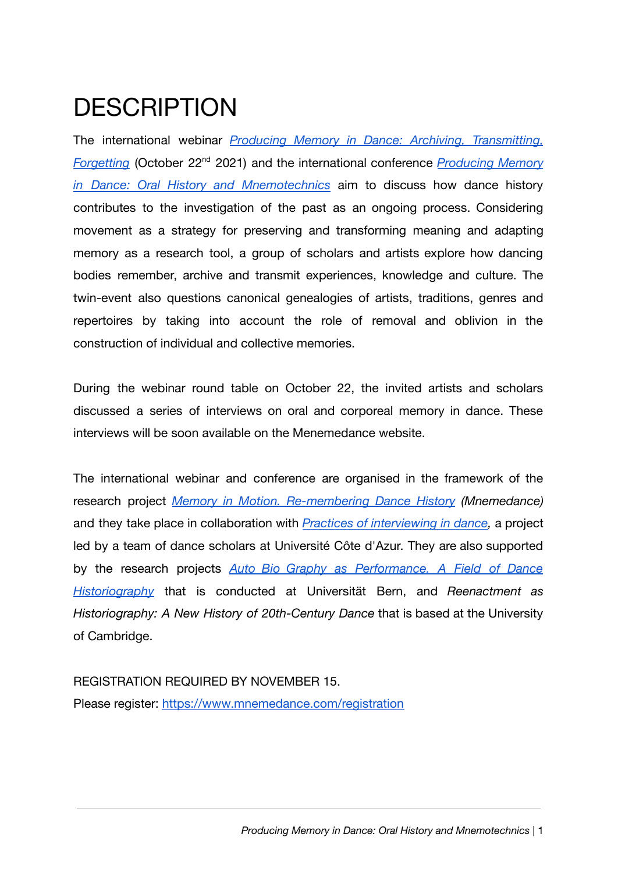# **DESCRIPTION**

The international webinar *Producing Memory in Dance: Archiving, [Transmitting,](https://www.mnemedance.com/producing-memory-in-dance-archiving-transmitting-forgetting) [Forgetting](https://www.mnemedance.com/producing-memory-in-dance-archiving-transmitting-forgetting)* (October 22<sup>nd</sup> 2021) and the international conference *[Producing](https://editor.wix.com/html/editor/web/renderer/render/document/59930056-9d73-4fc8-aa5a-c48206264693/producing-memory-in-dance-oral-history-and-mnemotechnics?dsOrigin=Editor1.4&editorSessionId=d6d2bfab-706d-44a2-8ecd-7b1b98776415&esi=d6d2bfab-706d-44a2-8ecd-7b1b98776415&isEdited=true&isSantaEditor=true&lang=en&metaSiteId=377bb085-b424-4762-8677-2ca49069e398) Memory in Dance: Oral History and [Mnemotechnics](https://editor.wix.com/html/editor/web/renderer/render/document/59930056-9d73-4fc8-aa5a-c48206264693/producing-memory-in-dance-oral-history-and-mnemotechnics?dsOrigin=Editor1.4&editorSessionId=d6d2bfab-706d-44a2-8ecd-7b1b98776415&esi=d6d2bfab-706d-44a2-8ecd-7b1b98776415&isEdited=true&isSantaEditor=true&lang=en&metaSiteId=377bb085-b424-4762-8677-2ca49069e398)* aim to discuss how dance history contributes to the investigation of the past as an ongoing process. Considering movement as a strategy for preserving and transforming meaning and adapting memory as a research tool, a group of scholars and artists explore how dancing bodies remember, archive and transmit experiences, knowledge and culture. The twin-event also questions canonical genealogies of artists, traditions, genres and repertoires by taking into account the role of removal and oblivion in the construction of individual and collective memories.

During the webinar round table on October 22, the invited artists and scholars discussed a series of interviews on oral and corporeal memory in dance. These interviews will be soon available on the Menemedance website.

The international webinar and conference are organised in the framework of the research project *Memory in Motion. [Re-membering](https://www.mnemedance.com/) Dance History (Mnemedance)* and they take place in collaboration with *Practices of [interviewing](https://mshs.univ-cotedazur.fr/medias/fichier/programme-je-juin-2019-14juin-finale_1630937120565-pdf) in dance[,](https://mshs.univ-cotedazur.fr/journee-detude-%C2%AB-dire-le-corps-pratiques-de-lentretien-en-danse-%C2%BB-%E2%80%93-25-et-26-juin-2019)* a project led by a team of dance scholars at Université Côte d'Azur. They are also supported by the research projects *[Auto\\_Bio\\_Graphy](https://www.mnemedance.com/auto-bio-graphy-as-performance) as Performance. A Field of Dance [Historiography](https://www.mnemedance.com/auto-bio-graphy-as-performance)* that is conducted at Universität Bern, and *Reenactment as Historiography: A New History of 20th-Century Dance* that is based at the University of Cambridge.

# REGISTRATION REQUIRED BY NOVEMBER 15.

Please register: <https://www.mnemedance.com/registration>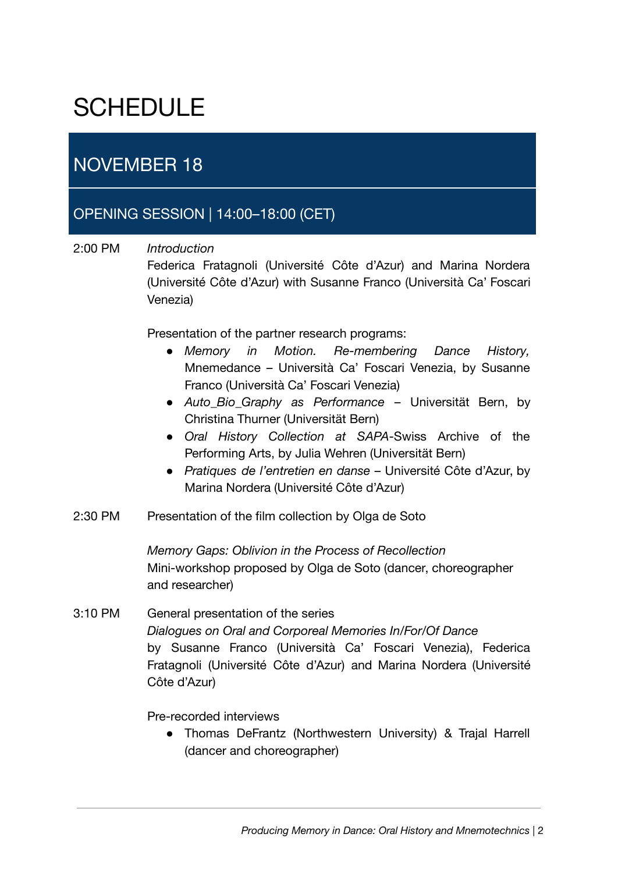# **SCHEDULE**

# NOVEMBER 18

### OPENING SESSION | 14:00–18:00 (CET)

#### 2:00 PM *Introduction*

Federica Fratagnoli (Université Côte d'Azur) and Marina Nordera (Université Côte d'Azur) with Susanne Franco (Università Ca' Foscari Venezia)

Presentation of the partner research programs:

- *● Memory in Motion. Re-membering Dance History,* Mnemedance – Università Ca' Foscari Venezia, by Susanne Franco (Università Ca' Foscari Venezia)
- *Auto\_Bio\_Graphy as Performance* Universität Bern, by Christina Thurner (Universität Bern)
- *Oral History Collection at SAPA*-Swiss Archive of the Performing Arts, by Julia Wehren (Universität Bern)
- *Pratiques de l'entretien en danse* Université Côte d'Azur, by Marina Nordera (Université Côte d'Azur)
- 2:30 PM Presentation of the film collection by Olga de Soto

*Memory Gaps: Oblivion in the Process of Recollection* Mini-workshop proposed by Olga de Soto (dancer, choreographer and researcher)

3:10 PM General presentation of the series *Dialogues on Oral and Corporeal Memories In/For/Of Dance* by Susanne Franco (Università Ca' Foscari Venezia), Federica Fratagnoli (Université Côte d'Azur) and Marina Nordera (Université Côte d'Azur)

#### Pre-recorded interviews

● Thomas DeFrantz (Northwestern University) & Trajal Harrell (dancer and choreographer)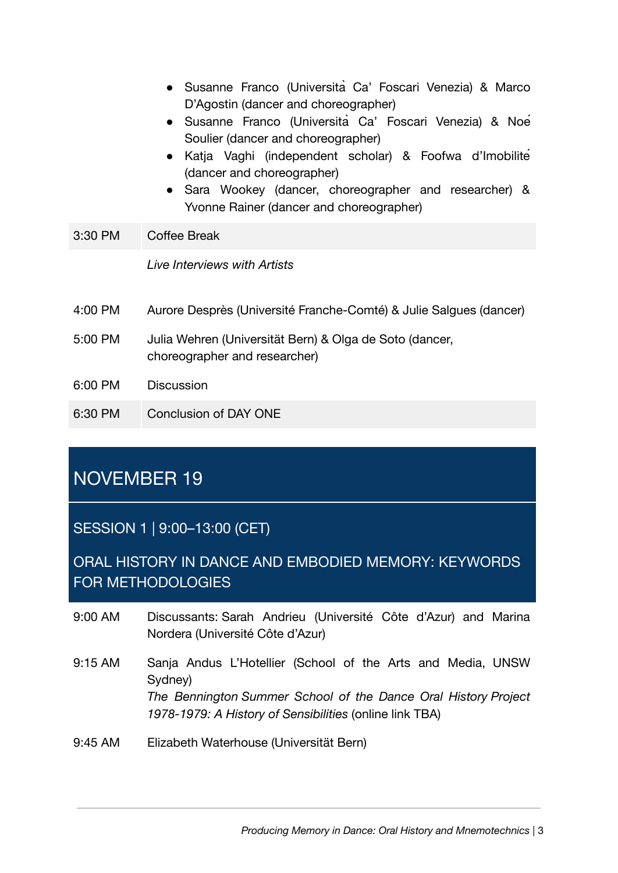- Susanne Franco (Università Ca' Foscari Venezia) & Marco D'Agostin (dancer and choreographer)
- Susanne Franco (Università Ca' Foscari Venezia) & Noé Soulier (dancer and choreographer)
- Katja Vaghi (independent scholar) & Foofwa d'Imobilité (dancer and choreographer)
- Sara Wookey (dancer, choreographer and researcher) & Yvonne Rainer (dancer and choreographer)
- 3:30 PM Coffee Break

*Live Interviews with Artists*

- 4:00 PM Aurore Desprès (Université Franche-Comté) & Julie Salgues (dancer)
- 5:00 PM Julia Wehren (Universität Bern) & Olga de Soto (dancer, choreographer and researcher)
- 6:00 PM Discussion
- 6:30 PM Conclusion of DAY ONE

# NOVEMBER 19

SESSION 1 | 9:00–13:00 (CET)

ORAL HISTORY IN DANCE AND EMBODIED MEMORY: KEYWORDS FOR METHODOLOGIES

- 9:00 AM Discussants: Sarah Andrieu (Université Côte d'Azur) and Marina Nordera (Université Côte d'Azur)
- 9:15 AM Sanja Andus L'Hotellier (School of the Arts and Media, UNSW Sydney) *The Bennington Summer School of the Dance Oral History Project 1978-1979: A History of Sensibilities* (online link TBA)
- 9:45 AM Elizabeth Waterhouse (Universität Bern)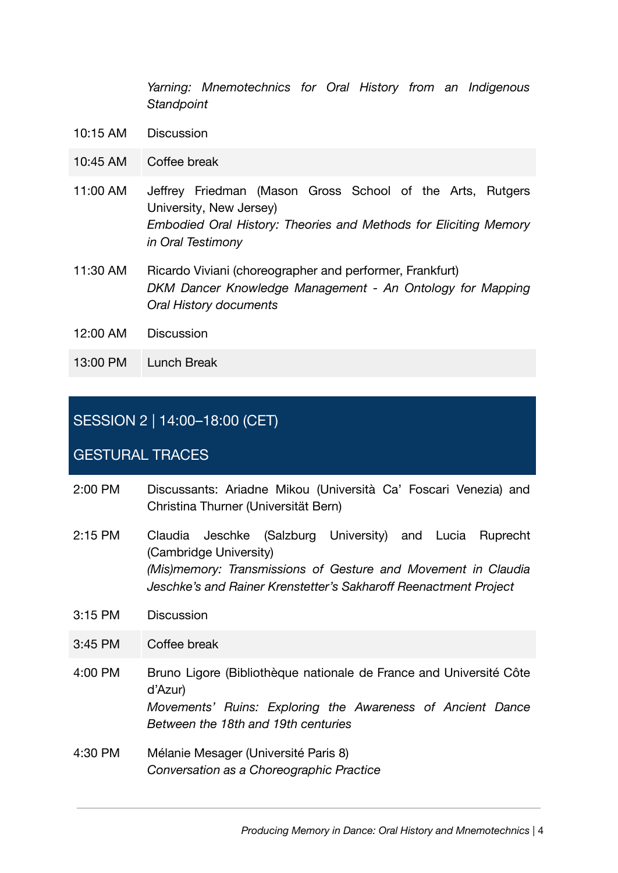*Yarning: Mnemotechnics for Oral History from an Indigenous Standpoint*

- 10:15 AM Discussion
- 10:45 AM Coffee break
- 11:00 AM Jeffrey Friedman (Mason Gross School of the Arts, Rutgers University, New Jersey) *Embodied Oral History: Theories and Methods for Eliciting Memory in Oral Testimony*
- 11:30 AM Ricardo Viviani (choreographer and performer, Frankfurt) *DKM Dancer Knowledge Management - An Ontology for Mapping Oral History documents*
- 12:00 AM Discussion
- 13:00 PM Lunch Break

#### SESSION 2 | 14:00–18:00 (CET)

#### GESTURAL TRACES

- 2:00 PM Discussants: Ariadne Mikou (Università Ca' Foscari Venezia) and Christina Thurner (Universität Bern)
- 2:15 PM Claudia Jeschke (Salzburg University) and Lucia Ruprecht (Cambridge University) *(Mis)memory: Transmissions of Gesture and Movement in Claudia Jeschke's and Rainer Krenstetter's Sakharoff Reenactment Project*
- 3:15 PM Discussion
- 3:45 PM Coffee break
- 4:00 PM Bruno Ligore (Bibliothèque nationale de France and Université Côte d'Azur) *Movements' Ruins: Exploring the Awareness of Ancient Dance Between the 18th and 19th centuries*
- 4:30 PM Mélanie Mesager (Université Paris 8) *Conversation as a Choreographic Practice*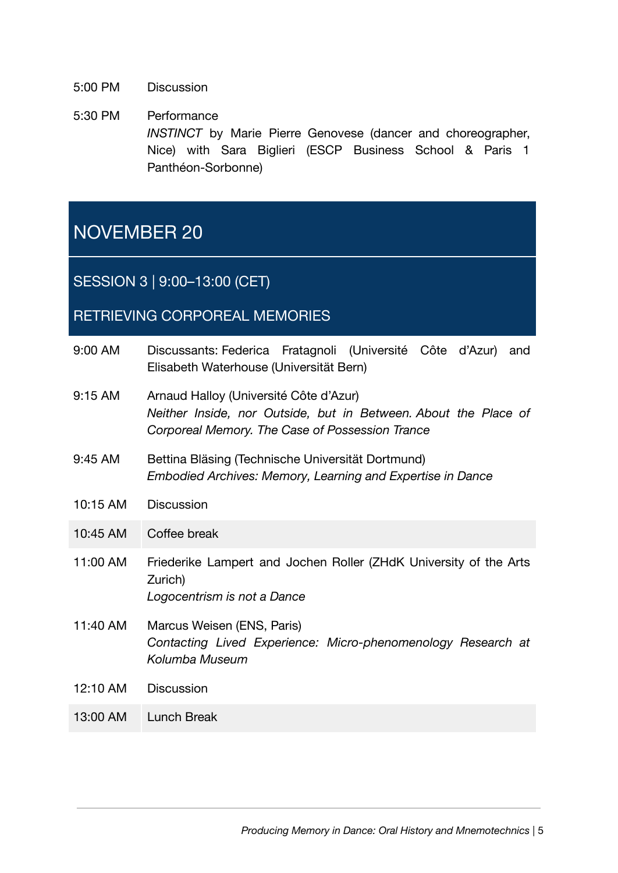- 5:00 PM Discussion
- 5:30 PM Performance *INSTINCT* by Marie Pierre Genovese (dancer and choreographer, Nice) with Sara Biglieri (ESCP Business School & Paris 1 Panthéon-Sorbonne)

# NOVEMBER 20

SESSION 3 | 9:00–13:00 (CET)

#### RETRIEVING CORPOREAL MEMORIES

| 9:00 AM   | Discussants: Federica Fratagnoli (Université Côte d'Azur)<br>and<br>Elisabeth Waterhouse (Universität Bern)                                                  |
|-----------|--------------------------------------------------------------------------------------------------------------------------------------------------------------|
| $9:15$ AM | Arnaud Halloy (Université Côte d'Azur)<br>Neither Inside, nor Outside, but in Between. About the Place of<br>Corporeal Memory. The Case of Possession Trance |
| 9:45 AM   | Bettina Bläsing (Technische Universität Dortmund)<br>Embodied Archives: Memory, Learning and Expertise in Dance                                              |
| 10:15 AM  | <b>Discussion</b>                                                                                                                                            |
| 10:45 AM  | Coffee break                                                                                                                                                 |
| 11:00 AM  | Friederike Lampert and Jochen Roller (ZHdK University of the Arts<br>Zurich)<br>Logocentrism is not a Dance                                                  |
| 11:40 AM  | Marcus Weisen (ENS, Paris)<br>Contacting Lived Experience: Micro-phenomenology Research at<br>Kolumba Museum                                                 |
| 12:10 AM  | <b>Discussion</b>                                                                                                                                            |
| 13:00 AM  | <b>Lunch Break</b>                                                                                                                                           |
|           |                                                                                                                                                              |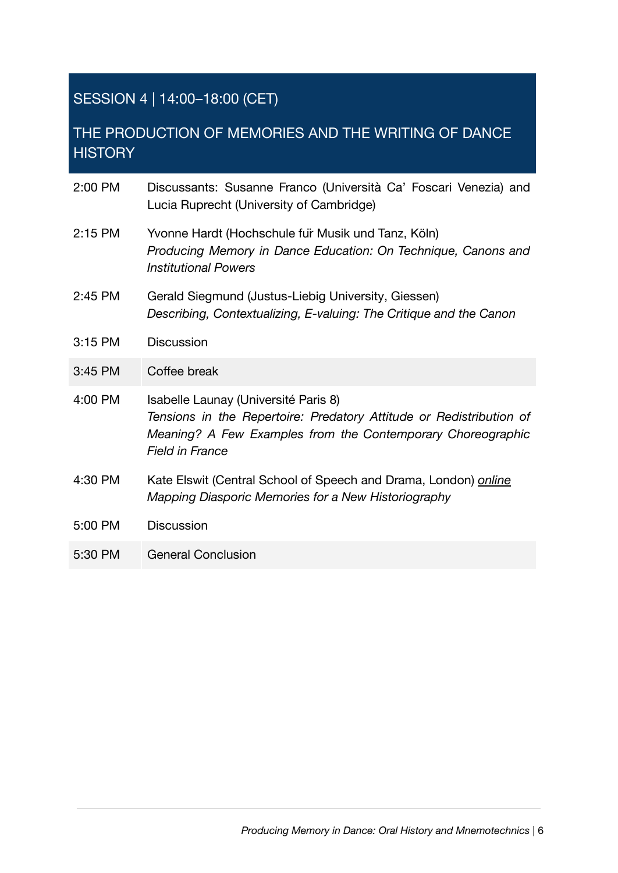# SESSION 4 | 14:00–18:00 (CET)

## THE PRODUCTION OF MEMORIES AND THE WRITING OF DANCE **HISTORY**

| 2:00 PM | Discussants: Susanne Franco (Università Ca' Foscari Venezia) and<br>Lucia Ruprecht (University of Cambridge)                                                                                         |
|---------|------------------------------------------------------------------------------------------------------------------------------------------------------------------------------------------------------|
| 2:15 PM | Yvonne Hardt (Hochschule fur Musik und Tanz, Köln)<br>Producing Memory in Dance Education: On Technique, Canons and<br><b>Institutional Powers</b>                                                   |
| 2:45 PM | Gerald Siegmund (Justus-Liebig University, Giessen)<br>Describing, Contextualizing, E-valuing: The Critique and the Canon                                                                            |
| 3:15 PM | <b>Discussion</b>                                                                                                                                                                                    |
| 3:45 PM | Coffee break                                                                                                                                                                                         |
| 4:00 PM | Isabelle Launay (Université Paris 8)<br>Tensions in the Repertoire: Predatory Attitude or Redistribution of<br>Meaning? A Few Examples from the Contemporary Choreographic<br><b>Field in France</b> |
| 4:30 PM | Kate Elswit (Central School of Speech and Drama, London) online<br>Mapping Diasporic Memories for a New Historiography                                                                               |
| 5:00 PM | <b>Discussion</b>                                                                                                                                                                                    |
| 5:30 PM | <b>General Conclusion</b>                                                                                                                                                                            |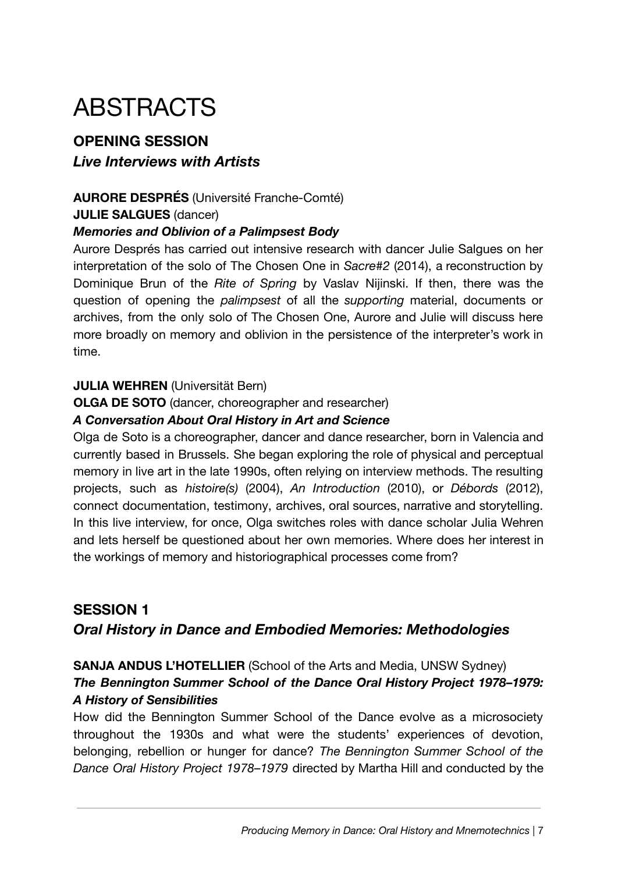# ABSTRACTS

### **OPENING SESSION** *Live Interviews with Artists*

#### **AURORE DESPRÉS** (Université Franche-Comté)

#### **JULIE SALGUES** (dancer)

#### *Memories and Oblivion of a Palimpsest Body*

Aurore Després has carried out intensive research with dancer Julie Salgues on her interpretation of the solo of The Chosen One in *Sacre#2* (2014), a reconstruction by Dominique Brun of the *Rite of Spring* by Vaslav Nijinski. If then, there was the question of opening the *palimpsest* of all the *supporting* material, documents or archives, from the only solo of The Chosen One, Aurore and Julie will discuss here more broadly on memory and oblivion in the persistence of the interpreter's work in time.

#### **JULIA WEHREN** (Universität Bern)

#### **OLGA DE SOTO** (dancer, choreographer and researcher)

#### *A Conversation About Oral History in Art and Science*

Olga de Soto is a choreographer, dancer and dance researcher, born in Valencia and currently based in Brussels. She began exploring the role of physical and perceptual memory in live art in the late 1990s, often relying on interview methods. The resulting projects, such as *histoire(s)* (2004), *An Introduction* (2010), or *Débords* (2012), connect documentation, testimony, archives, oral sources, narrative and storytelling. In this live interview, for once, Olga switches roles with dance scholar Julia Wehren and lets herself be questioned about her own memories. Where does her interest in the workings of memory and historiographical processes come from?

## **SESSION 1** *Oral History in Dance and Embodied Memories: Methodologies*

#### **SANJA ANDUS L'HOTELLIER** (School of the Arts and Media, UNSW Sydney) *The Bennington Summer School of the Dance Oral History Project 1978***–***1979: A History of Sensibilities*

How did the Bennington Summer School of the Dance evolve as a microsociety throughout the 1930s and what were the students' experiences of devotion, belonging, rebellion or hunger for dance? *The Bennington Summer School of the Dance Oral History Project 1978–1979* directed by Martha Hill and conducted by the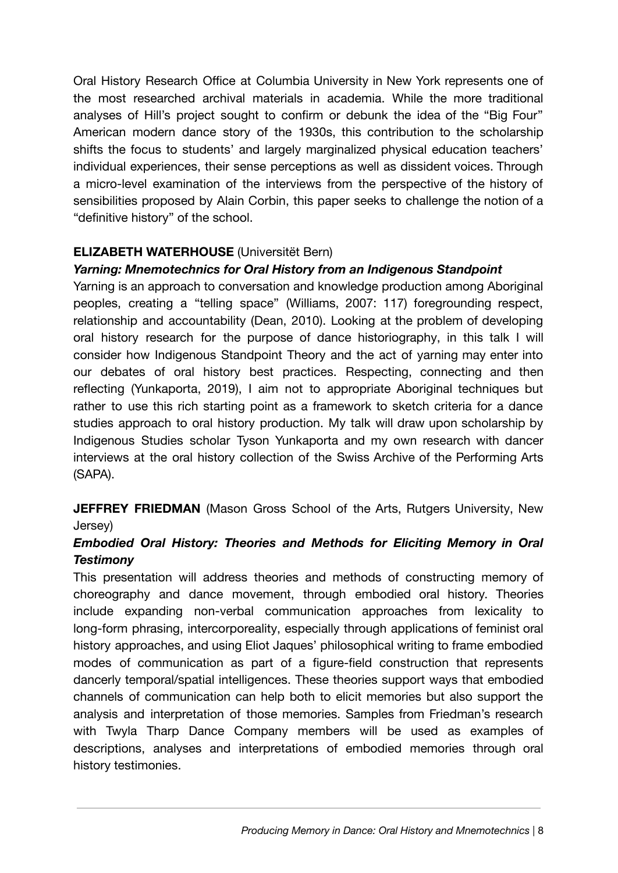Oral History Research Office at Columbia University in New York represents one of the most researched archival materials in academia. While the more traditional analyses of Hill's project sought to confirm or debunk the idea of the "Big Four" American modern dance story of the 1930s, this contribution to the scholarship shifts the focus to students' and largely marginalized physical education teachers' individual experiences, their sense perceptions as well as dissident voices. Through a micro-level examination of the interviews from the perspective of the history of sensibilities proposed by Alain Corbin, this paper seeks to challenge the notion of a "definitive history" of the school.

#### **ELIZABETH WATERHOUSE** (Universitët Bern)

#### *Yarning: Mnemotechnics for Oral History from an Indigenous Standpoint*

Yarning is an approach to conversation and knowledge production among Aboriginal peoples, creating a "telling space" (Williams, 2007: 117) foregrounding respect, relationship and accountability (Dean, 2010). Looking at the problem of developing oral history research for the purpose of dance historiography, in this talk I will consider how Indigenous Standpoint Theory and the act of yarning may enter into our debates of oral history best practices. Respecting, connecting and then reflecting (Yunkaporta, 2019), I aim not to appropriate Aboriginal techniques but rather to use this rich starting point as a framework to sketch criteria for a dance studies approach to oral history production. My talk will draw upon scholarship by Indigenous Studies scholar Tyson Yunkaporta and my own research with dancer interviews at the oral history collection of the Swiss Archive of the Performing Arts (SAPA).

**JEFFREY FRIEDMAN** (Mason Gross School of the Arts, Rutgers University, New Jersey)

#### *Embodied Oral History: Theories and Methods for Eliciting Memory in Oral Testimony*

This presentation will address theories and methods of constructing memory of choreography and dance movement, through embodied oral history. Theories include expanding non-verbal communication approaches from lexicality to long-form phrasing, intercorporeality, especially through applications of feminist oral history approaches, and using Eliot Jaques' philosophical writing to frame embodied modes of communication as part of a figure-field construction that represents dancerly temporal/spatial intelligences. These theories support ways that embodied channels of communication can help both to elicit memories but also support the analysis and interpretation of those memories. Samples from Friedman's research with Twyla Tharp Dance Company members will be used as examples of descriptions, analyses and interpretations of embodied memories through oral history testimonies.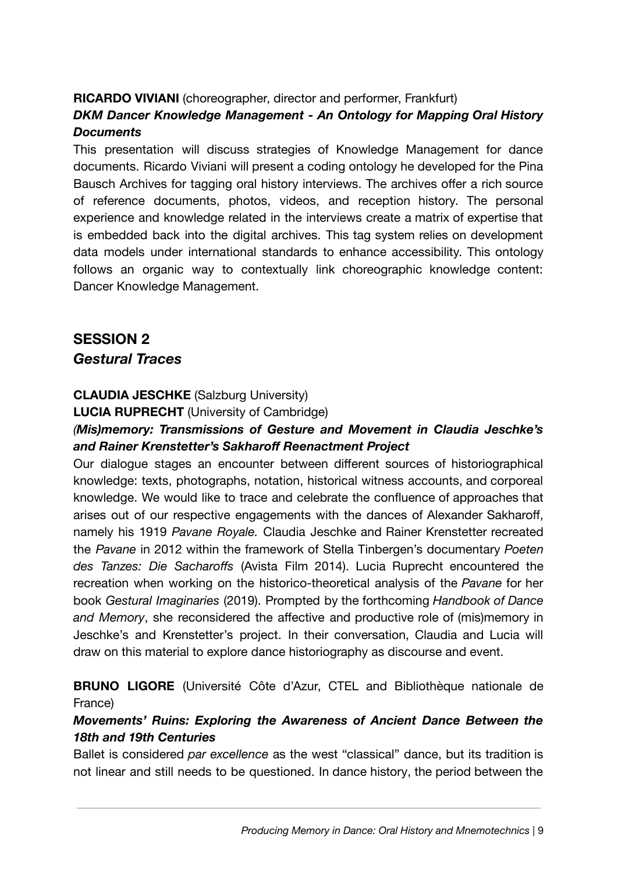#### **RICARDO VIVIANI** (choreographer, director and performer, Frankfurt)

#### *DKM Dancer Knowledge Management - An Ontology for Mapping Oral History Documents*

This presentation will discuss strategies of Knowledge Management for dance documents. Ricardo Viviani will present a coding ontology he developed for the Pina Bausch Archives for tagging oral history interviews. The archives offer a rich source of reference documents, photos, videos, and reception history. The personal experience and knowledge related in the interviews create a matrix of expertise that is embedded back into the digital archives. This tag system relies on development data models under international standards to enhance accessibility. This ontology follows an organic way to contextually link choreographic knowledge content: Dancer Knowledge Management.

### **SESSION 2** *Gestural Traces*

#### **CLAUDIA JESCHKE** (Salzburg University)

**LUCIA RUPRECHT** (University of Cambridge)

#### *(Mis)memory: Transmissions of Gesture and Movement in Claudia Jeschke's and Rainer Krenstetter's Sakharoff Reenactment Project*

Our dialogue stages an encounter between different sources of historiographical knowledge: texts, photographs, notation, historical witness accounts, and corporeal knowledge. We would like to trace and celebrate the confluence of approaches that arises out of our respective engagements with the dances of Alexander Sakharoff, namely his 1919 *Pavane Royale.* Claudia Jeschke and Rainer Krenstetter recreated the *Pavane* in 2012 within the framework of Stella Tinbergen's documentary *Poeten des Tanzes: Die Sacharoffs* (Avista Film 2014). Lucia Ruprecht encountered the recreation when working on the historico-theoretical analysis of the *Pavane* for her book *Gestural Imaginaries* (2019). Prompted by the forthcoming *Handbook of Dance and Memory*, she reconsidered the affective and productive role of (mis)memory in Jeschke's and Krenstetter's project. In their conversation, Claudia and Lucia will draw on this material to explore dance historiography as discourse and event.

#### **BRUNO LIGORE** (Université Côte d'Azur, CTEL and Bibliothèque nationale de France)

#### *Movements' Ruins: Exploring the Awareness of Ancient Dance Between the 18th and 19th Centuries*

Ballet is considered *par excellence* as the west "classical" dance, but its tradition is not linear and still needs to be questioned. In dance history, the period between the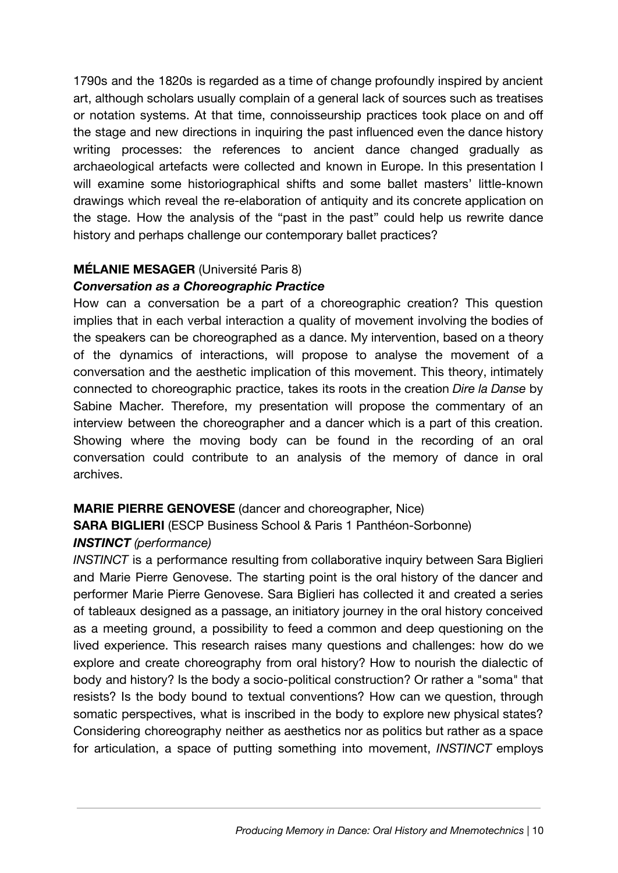1790s and the 1820s is regarded as a time of change profoundly inspired by ancient art, although scholars usually complain of a general lack of sources such as treatises or notation systems. At that time, connoisseurship practices took place on and off the stage and new directions in inquiring the past influenced even the dance history writing processes: the references to ancient dance changed gradually as archaeological artefacts were collected and known in Europe. In this presentation I will examine some historiographical shifts and some ballet masters' little-known drawings which reveal the re-elaboration of antiquity and its concrete application on the stage. How the analysis of the "past in the past" could help us rewrite dance history and perhaps challenge our contemporary ballet practices?

#### **MÉLANIE MESAGER** (Université Paris 8)

#### *Conversation as a Choreographic Practice*

How can a conversation be a part of a choreographic creation? This question implies that in each verbal interaction a quality of movement involving the bodies of the speakers can be choreographed as a dance. My intervention, based on a theory of the dynamics of interactions, will propose to analyse the movement of a conversation and the aesthetic implication of this movement. This theory, intimately connected to choreographic practice, takes its roots in the creation *Dire la Danse* by Sabine Macher. Therefore, my presentation will propose the commentary of an interview between the choreographer and a dancer which is a part of this creation. Showing where the moving body can be found in the recording of an oral conversation could contribute to an analysis of the memory of dance in oral archives.

#### **MARIE PIERRE GENOVESE** (dancer and choreographer, Nice)

## **SARA BIGLIERI** (ESCP Business School & Paris 1 Panthéon-Sorbonne)

#### *INSTINCT (performance)*

*INSTINCT* is a performance resulting from collaborative inquiry between Sara Biglieri and Marie Pierre Genovese. The starting point is the oral history of the dancer and performer Marie Pierre Genovese. Sara Biglieri has collected it and created a series of tableaux designed as a passage, an initiatory journey in the oral history conceived as a meeting ground, a possibility to feed a common and deep questioning on the lived experience. This research raises many questions and challenges: how do we explore and create choreography from oral history? How to nourish the dialectic of body and history? Is the body a socio-political construction? Or rather a "soma" that resists? Is the body bound to textual conventions? How can we question, through somatic perspectives, what is inscribed in the body to explore new physical states? Considering choreography neither as aesthetics nor as politics but rather as a space for articulation, a space of putting something into movement, *INSTINCT* employs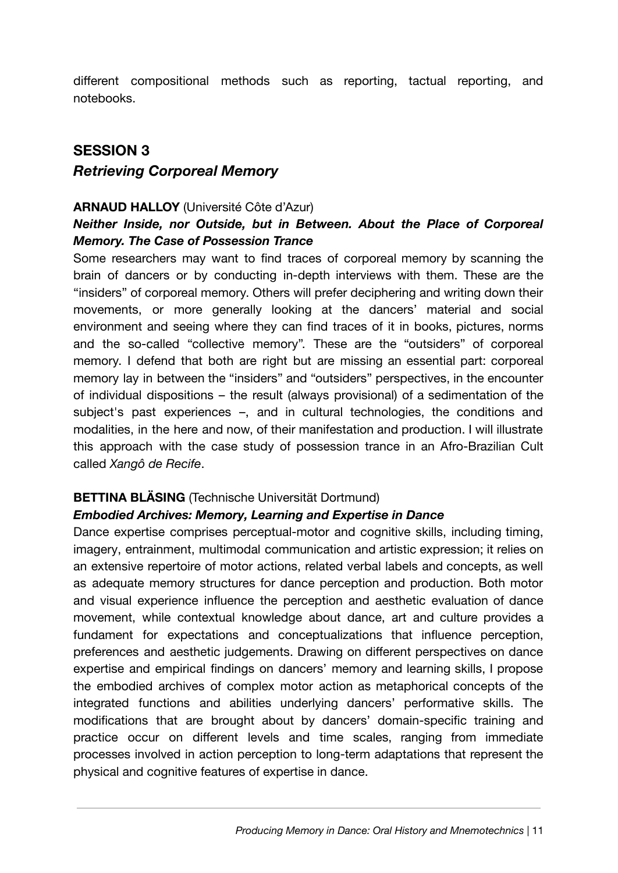different compositional methods such as reporting, tactual reporting, and notebooks.

# **SESSION 3** *Retrieving Corporeal Memory*

#### **ARNAUD HALLOY** (Université Côte d'Azur)

#### *Neither Inside, nor Outside, but in Between. About the Place of Corporeal Memory. The Case of Possession Trance*

Some researchers may want to find traces of corporeal memory by scanning the brain of dancers or by conducting in-depth interviews with them. These are the "insiders" of corporeal memory. Others will prefer deciphering and writing down their movements, or more generally looking at the dancers' material and social environment and seeing where they can find traces of it in books, pictures, norms and the so-called "collective memory". These are the "outsiders" of corporeal memory. I defend that both are right but are missing an essential part: corporeal memory lay in between the "insiders" and "outsiders" perspectives, in the encounter of individual dispositions – the result (always provisional) of a sedimentation of the subject's past experiences –, and in cultural technologies, the conditions and modalities, in the here and now, of their manifestation and production. I will illustrate this approach with the case study of possession trance in an Afro-Brazilian Cult called *Xangô de Recife*.

#### **BETTINA BLÄSING** (Technische Universität Dortmund)

#### *Embodied Archives: Memory, Learning and Expertise in Dance*

Dance expertise comprises perceptual-motor and cognitive skills, including timing, imagery, entrainment, multimodal communication and artistic expression; it relies on an extensive repertoire of motor actions, related verbal labels and concepts, as well as adequate memory structures for dance perception and production. Both motor and visual experience influence the perception and aesthetic evaluation of dance movement, while contextual knowledge about dance, art and culture provides a fundament for expectations and conceptualizations that influence perception, preferences and aesthetic judgements. Drawing on different perspectives on dance expertise and empirical findings on dancers' memory and learning skills, I propose the embodied archives of complex motor action as metaphorical concepts of the integrated functions and abilities underlying dancers' performative skills. The modifications that are brought about by dancers' domain-specific training and practice occur on different levels and time scales, ranging from immediate processes involved in action perception to long-term adaptations that represent the physical and cognitive features of expertise in dance.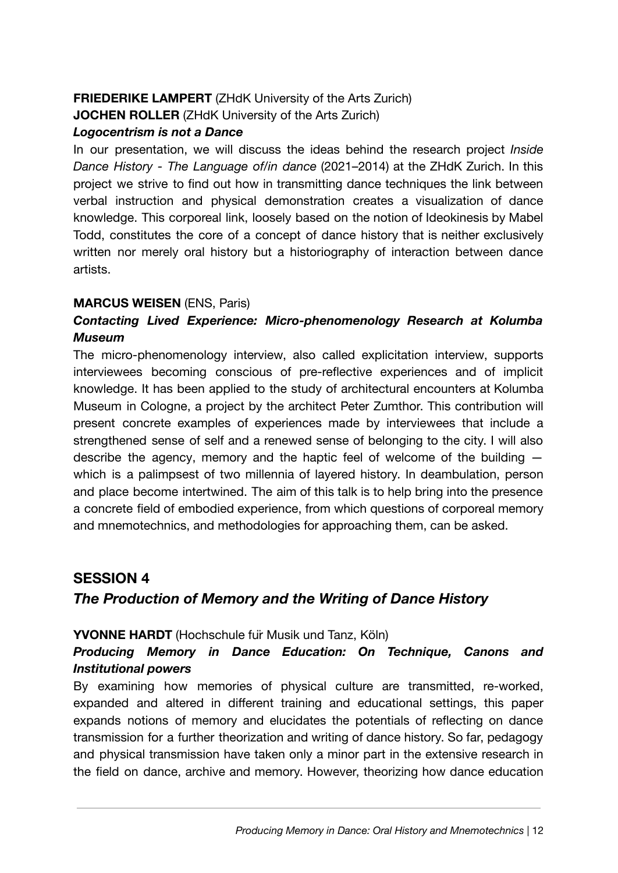#### **FRIEDERIKE LAMPERT** (ZHdK University of the Arts Zurich)

**JOCHEN ROLLER** (ZHdK University of the Arts Zurich)

#### *Logocentrism is not a Dance*

In our presentation, we will discuss the ideas behind the research project *Inside Dance History - The Language of/in dance* (2021–2014) at the ZHdK Zurich. In this project we strive to find out how in transmitting dance techniques the link between verbal instruction and physical demonstration creates a visualization of dance knowledge. This corporeal link, loosely based on the notion of Ideokinesis by Mabel Todd, constitutes the core of a concept of dance history that is neither exclusively written nor merely oral history but a historiography of interaction between dance artists.

#### **MARCUS WEISEN** (ENS, Paris)

#### *Contacting Lived Experience: Micro-phenomenology Research at Kolumba Museum*

The micro-phenomenology interview, also called explicitation interview, supports interviewees becoming conscious of pre-reflective experiences and of implicit knowledge. It has been applied to the study of architectural encounters at Kolumba Museum in Cologne, a project by the architect Peter Zumthor. This contribution will present concrete examples of experiences made by interviewees that include a strengthened sense of self and a renewed sense of belonging to the city. I will also describe the agency, memory and the haptic feel of welcome of the building  $$ which is a palimpsest of two millennia of layered history. In deambulation, person and place become intertwined. The aim of this talk is to help bring into the presence a concrete field of embodied experience, from which questions of corporeal memory and mnemotechnics, and methodologies for approaching them, can be asked.

# **SESSION 4** *The Production of Memory and the Writing of Dance History*

#### **YVONNE HARDT** (Hochschule fuir Musik und Tanz, Köln)

#### *Producing Memory in Dance Education: On Technique, Canons and Institutional powers*

By examining how memories of physical culture are transmitted, re-worked, expanded and altered in different training and educational settings, this paper expands notions of memory and elucidates the potentials of reflecting on dance transmission for a further theorization and writing of dance history. So far, pedagogy and physical transmission have taken only a minor part in the extensive research in the field on dance, archive and memory. However, theorizing how dance education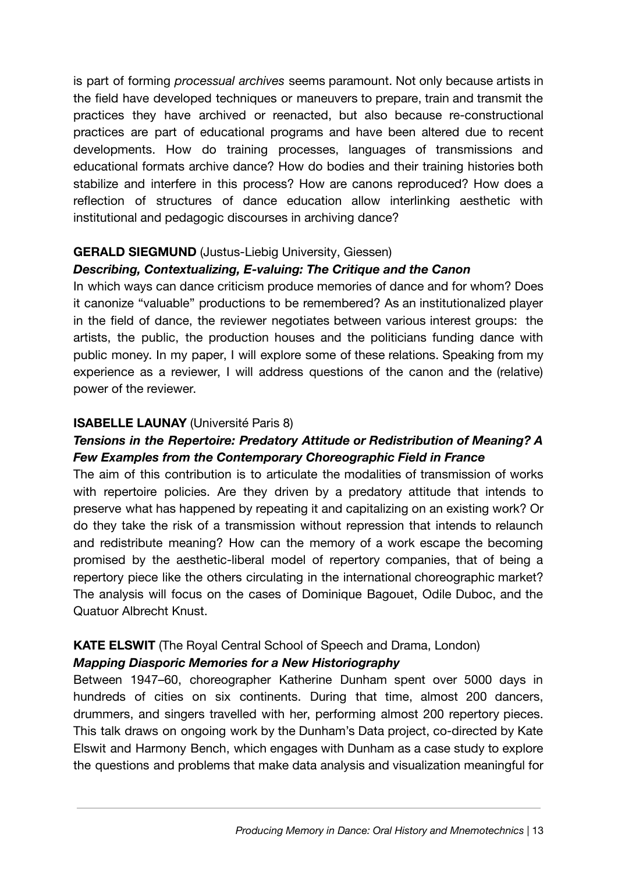is part of forming *processual archives* seems paramount. Not only because artists in the field have developed techniques or maneuvers to prepare, train and transmit the practices they have archived or reenacted, but also because re-constructional practices are part of educational programs and have been altered due to recent developments. How do training processes, languages of transmissions and educational formats archive dance? How do bodies and their training histories both stabilize and interfere in this process? How are canons reproduced? How does a reflection of structures of dance education allow interlinking aesthetic with institutional and pedagogic discourses in archiving dance?

#### **GERALD SIEGMUND** (Justus-Liebig University, Giessen)

#### *Describing, Contextualizing, E-valuing: The Critique and the Canon*

In which ways can dance criticism produce memories of dance and for whom? Does it canonize "valuable" productions to be remembered? As an institutionalized player in the field of dance, the reviewer negotiates between various interest groups: the artists, the public, the production houses and the politicians funding dance with public money. In my paper, I will explore some of these relations. Speaking from my experience as a reviewer, I will address questions of the canon and the (relative) power of the reviewer.

#### **ISABELLE LAUNAY** (Université Paris 8)

#### *Tensions in the Repertoire: Predatory Attitude or Redistribution of Meaning? A Few Examples from the Contemporary Choreographic Field in France*

The aim of this contribution is to articulate the modalities of transmission of works with repertoire policies. Are they driven by a predatory attitude that intends to preserve what has happened by repeating it and capitalizing on an existing work? Or do they take the risk of a transmission without repression that intends to relaunch and redistribute meaning? How can the memory of a work escape the becoming promised by the aesthetic-liberal model of repertory companies, that of being a repertory piece like the others circulating in the international choreographic market? The analysis will focus on the cases of Dominique Bagouet, Odile Duboc, and the Quatuor Albrecht Knust.

### **KATE ELSWIT** (The Royal Central School of Speech and Drama, London)

#### *Mapping Diasporic Memories for a New Historiography*

Between 1947–60, choreographer Katherine Dunham spent over 5000 days in hundreds of cities on six continents. During that time, almost 200 dancers, drummers, and singers travelled with her, performing almost 200 repertory pieces. This talk draws on ongoing work by the Dunham's Data project, co-directed by Kate Elswit and Harmony Bench, which engages with Dunham as a case study to explore the questions and problems that make data analysis and visualization meaningful for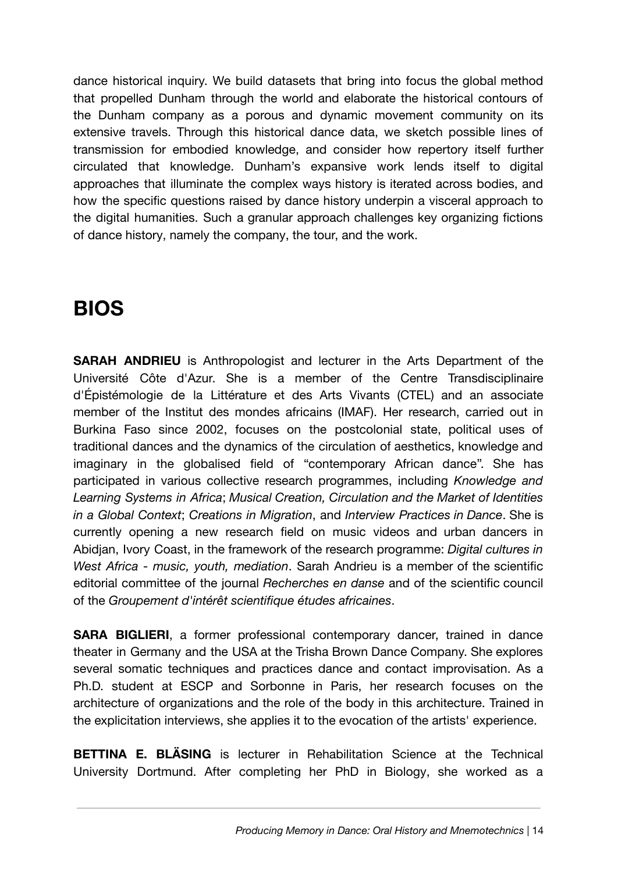dance historical inquiry. We build datasets that bring into focus the global method that propelled Dunham through the world and elaborate the historical contours of the Dunham company as a porous and dynamic movement community on its extensive travels. Through this historical dance data, we sketch possible lines of transmission for embodied knowledge, and consider how repertory itself further circulated that knowledge. Dunham's expansive work lends itself to digital approaches that illuminate the complex ways history is iterated across bodies, and how the specific questions raised by dance history underpin a visceral approach to the digital humanities. Such a granular approach challenges key organizing fictions of dance history, namely the company, the tour, and the work.

# **BIOS**

**SARAH ANDRIEU** is Anthropologist and lecturer in the Arts Department of the Université Côte d'Azur. She is a member of the Centre Transdisciplinaire d'Épistémologie de la Littérature et des Arts Vivants (CTEL) and an associate member of the Institut des mondes africains (IMAF). Her research, carried out in Burkina Faso since 2002, focuses on the postcolonial state, political uses of traditional dances and the dynamics of the circulation of aesthetics, knowledge and imaginary in the globalised field of "contemporary African dance". She has participated in various collective research programmes, including *Knowledge and Learning Systems in Africa*; *Musical Creation, Circulation and the Market of Identities in a Global Context*; *Creations in Migration*, and *Interview Practices in Dance*. She is currently opening a new research field on music videos and urban dancers in Abidjan, Ivory Coast, in the framework of the research programme: *Digital cultures in West Africa - music, youth, mediation*. Sarah Andrieu is a member of the scientific editorial committee of the journal *Recherches en danse* and of the scientific council of the *Groupement d'intérêt scientifique études africaines*.

**SARA BIGLIERI**, a former professional contemporary dancer, trained in dance theater in Germany and the USA at the Trisha Brown Dance Company. She explores several somatic techniques and practices dance and contact improvisation. As a Ph.D. student at ESCP and Sorbonne in Paris, her research focuses on the architecture of organizations and the role of the body in this architecture. Trained in the explicitation interviews, she applies it to the evocation of the artists' experience.

**BETTINA E. BLÄSING** is lecturer in Rehabilitation Science at the Technical University Dortmund. After completing her PhD in Biology, she worked as a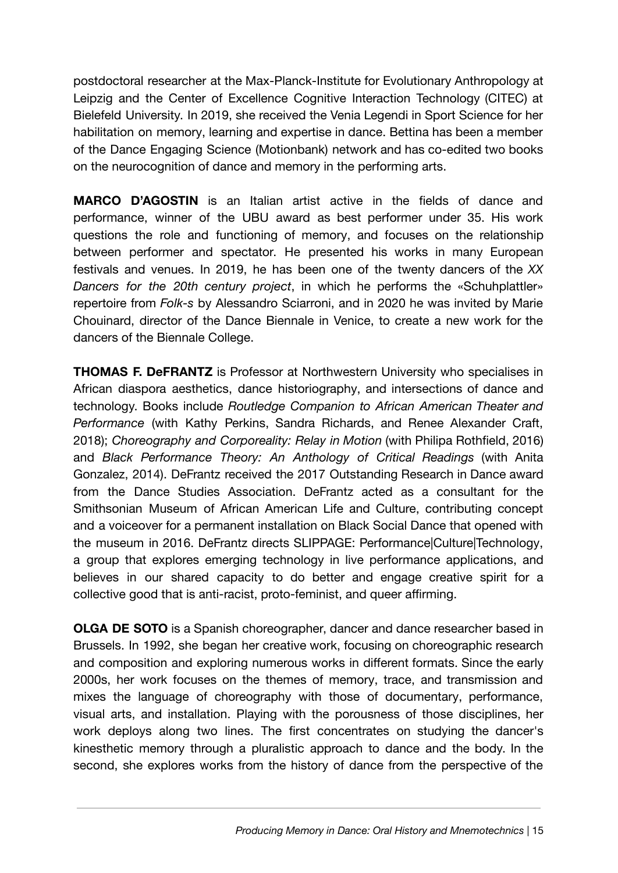postdoctoral researcher at the Max-Planck-Institute for Evolutionary Anthropology at Leipzig and the Center of Excellence Cognitive Interaction Technology (CITEC) at Bielefeld University. In 2019, she received the Venia Legendi in Sport Science for her habilitation on memory, learning and expertise in dance. Bettina has been a member of the Dance Engaging Science (Motionbank) network and has co-edited two books on the neurocognition of dance and memory in the performing arts.

**MARCO D'AGOSTIN** is an Italian artist active in the fields of dance and performance, winner of the UBU award as best performer under 35. His work questions the role and functioning of memory, and focuses on the relationship between performer and spectator. He presented his works in many European festivals and venues. In 2019, he has been one of the twenty dancers of the *XX Dancers for the 20th century project*, in which he performs the «Schuhplattler» repertoire from *Folk-s* by Alessandro Sciarroni, and in 2020 he was invited by Marie Chouinard, director of the Dance Biennale in Venice, to create a new work for the dancers of the Biennale College.

**THOMAS F. DeFRANTZ** is Professor at Northwestern University who specialises in African diaspora aesthetics, dance historiography, and intersections of dance and technology. Books include *Routledge Companion to African American Theater and Performance* (with Kathy Perkins, Sandra Richards, and Renee Alexander Craft, 2018); *Choreography and Corporeality: Relay in Motion* (with Philipa Rothfield, 2016) and *Black Performance Theory: An Anthology of Critical Readings* (with Anita Gonzalez, 2014). DeFrantz received the 2017 Outstanding Research in Dance award from the Dance Studies Association. DeFrantz acted as a consultant for the Smithsonian Museum of African American Life and Culture, contributing concept and a voiceover for a permanent installation on Black Social Dance that opened with the museum in 2016. DeFrantz directs SLIPPAGE: Performance|Culture|Technology, a group that explores emerging technology in live performance applications, and believes in our shared capacity to do better and engage creative spirit for a collective good that is anti-racist, proto-feminist, and queer affirming.

**OLGA DE SOTO** is a Spanish choreographer, dancer and dance researcher based in Brussels. In 1992, she began her creative work, focusing on choreographic research and composition and exploring numerous works in different formats. Since the early 2000s, her work focuses on the themes of memory, trace, and transmission and mixes the language of choreography with those of documentary, performance, visual arts, and installation. Playing with the porousness of those disciplines, her work deploys along two lines. The first concentrates on studying the dancer's kinesthetic memory through a pluralistic approach to dance and the body. In the second, she explores works from the history of dance from the perspective of the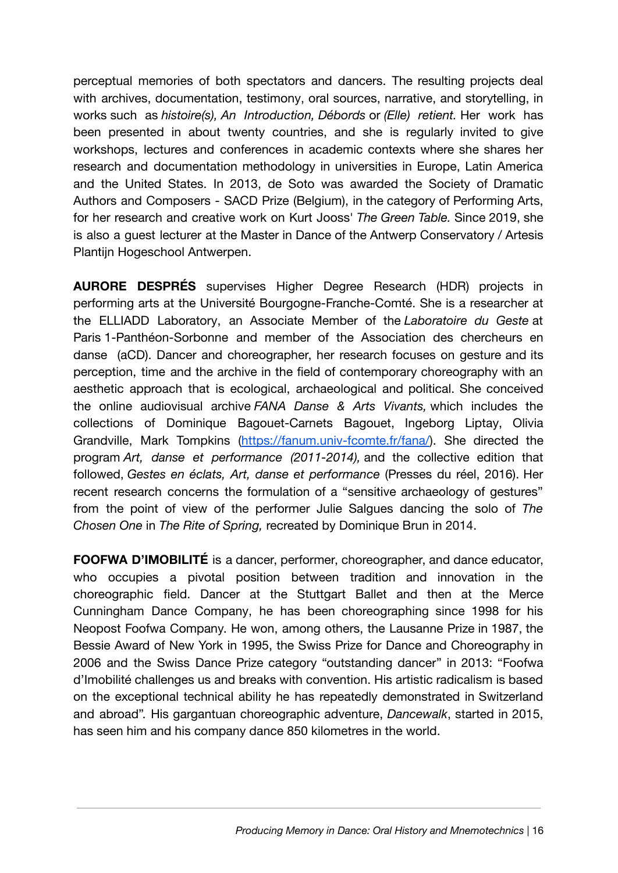perceptual memories of both spectators and dancers. The resulting projects deal with archives, documentation, testimony, oral sources, narrative, and storytelling, in works such as *histoire(s), An Introduction, Débords* or *(Elle) retient.* Her work has been presented in about twenty countries, and she is regularly invited to give workshops, lectures and conferences in academic contexts where she shares her research and documentation methodology in universities in Europe, Latin America and the United States. In 2013, de Soto was awarded the Society of Dramatic Authors and Composers - SACD Prize (Belgium), in the category of Performing Arts, for her research and creative work on Kurt Jooss' *The Green Table.* Since 2019, she is also a guest lecturer at the Master in Dance of the Antwerp Conservatory / Artesis Plantijn Hogeschool Antwerpen.

**AURORE DESPRÉS** supervises Higher Degree Research (HDR) projects in performing arts at the Université Bourgogne-Franche-Comté. She is a researcher at the ELLIADD Laboratory, an Associate Member of the *Laboratoire du Geste* at Paris 1-Panthéon-Sorbonne and member of the Association des chercheurs en danse (aCD). Dancer and choreographer, her research focuses on gesture and its perception, time and the archive in the field of contemporary choreography with an aesthetic approach that is ecological, archaeological and political. She conceived the online audiovisual archive *FANA Danse & Arts Vivants,* which includes the collections of Dominique Bagouet-Carnets Bagouet, Ingeborg Liptay, Olivia Grandville, Mark Tompkins (<https://fanum.univ-fcomte.fr/fana/>). She directed the program *Art, danse et performance (2011-2014),* and the collective edition that followed, *Gestes en éclats, Art, danse et performance* (Presses du réel, 2016). Her recent research concerns the formulation of a "sensitive archaeology of gestures" from the point of view of the performer Julie Salgues dancing the solo of *The Chosen One* in *The Rite of Spring,* recreated by Dominique Brun in 2014.

**FOOFWA D'IMOBILITÉ** is a dancer, performer, choreographer, and dance educator, who occupies a pivotal position between tradition and innovation in the choreographic field. Dancer at the Stuttgart Ballet and then at the Merce Cunningham Dance Company, he has been choreographing since 1998 for his Neopost Foofwa Company. He won, among others, the Lausanne Prize in 1987, the Bessie Award of New York in 1995, the Swiss Prize for Dance and Choreography in 2006 and the Swiss Dance Prize category "outstanding dancer" in 2013: "Foofwa d'Imobilité challenges us and breaks with convention. His artistic radicalism is based on the exceptional technical ability he has repeatedly demonstrated in Switzerland and abroad". His gargantuan choreographic adventure, *Dancewalk*, started in 2015, has seen him and his company dance 850 kilometres in the world.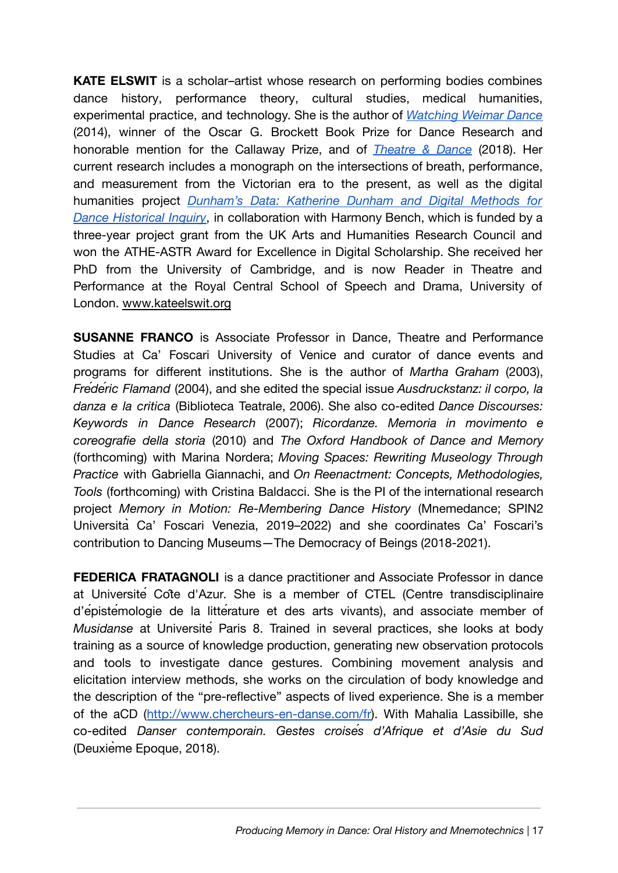**KATE ELSWIT** is a scholar–artist whose research on performing bodies combines dance history, performance theory, cultural studies, medical humanities, experimental practice, and technology. She is the author of *[Watching](https://global.oup.com/academic/product/watching-weimar-dance-9780199844838) Weimar Dance* (2014), winner of the Oscar G. Brockett Book Prize for Dance Research and honorable mention for the Callaway Prize, and of *[Theatre](https://www.macmillanihe.com/page/detail/Theatre-and-Dance/?K=9781137605740) & Dance* (2018). Her current research includes a monograph on the intersections of breath, performance, and measurement from the Victorian era to the present, as well as the digital humanities project *[Dunham's](http://www.dunhamsdata.org/) Data: Katherine Dunham and Digital Methods for Dance [Historical](http://www.dunhamsdata.org/) Inquiry*, in collaboration with Harmony Bench, which is funded by a three-year project grant from the UK Arts and Humanities Research Council and won the ATHE-ASTR Award for Excellence in Digital Scholarship. She received her PhD from the University of Cambridge, and is now Reader in Theatre and Performance at the Royal Central School of Speech and Drama, University of London. [www.kateelswit.org](http://www.kateelswit.org/)

**SUSANNE FRANCO** is Associate Professor in Dance, Theatre and Performance Studies at Ca' Foscari University of Venice and curator of dance events and programs for different institutions. She is the author of *Martha Graham* (2003), *Frédéric Flamand* (2004), and she edited the special issue *Ausdruckstanz: il corpo, la danza e la critica* (Biblioteca Teatrale, 2006). She also co-edited *Dance Discourses: Keywords in Dance Research* (2007); *Ricordanze. Memoria in movimento e coreografie della storia* (2010) and *The Oxford Handbook of Dance and Memory* (forthcoming) with Marina Nordera; *Moving Spaces: Rewriting Museology Through Practice* with Gabriella Giannachi, and *On Reenactment: Concepts, Methodologies, Tools* (forthcoming) with Cristina Baldacci. She is the PI of the international research project *Memory in Motion: Re-Membering Dance History* (Mnemedance; SPIN2 Università Ca' Foscari Venezia, 2019–2022) and she coordinates Ca' Foscari's contribution to Dancing Museums—The Democracy of Beings (2018-2021).

**FEDERICA FRATAGNOLI** is a dance practitioner and Associate Professor in dance at Université Côte d'Azur. She is a member of CTEL (Centre transdisciplinaire d'épistémologie de la littérature et des arts vivants), and associate member of *Musidanse* at Université Paris 8. Trained in several practices, she looks at body training as a source of knowledge production, generating new observation protocols and tools to investigate dance gestures. Combining movement analysis and elicitation interview methods, she works on the circulation of body knowledge and the description of the "pre-reflective" aspects of lived experience. She is a member of the aCD (<http://www.chercheurs-en-danse.com/fr>). With Mahalia Lassibille, she co-edited *Danser contemporain. Gestes croisés d'Afrique et d'Asie du Sud* (Deuxième Epoque, 2018).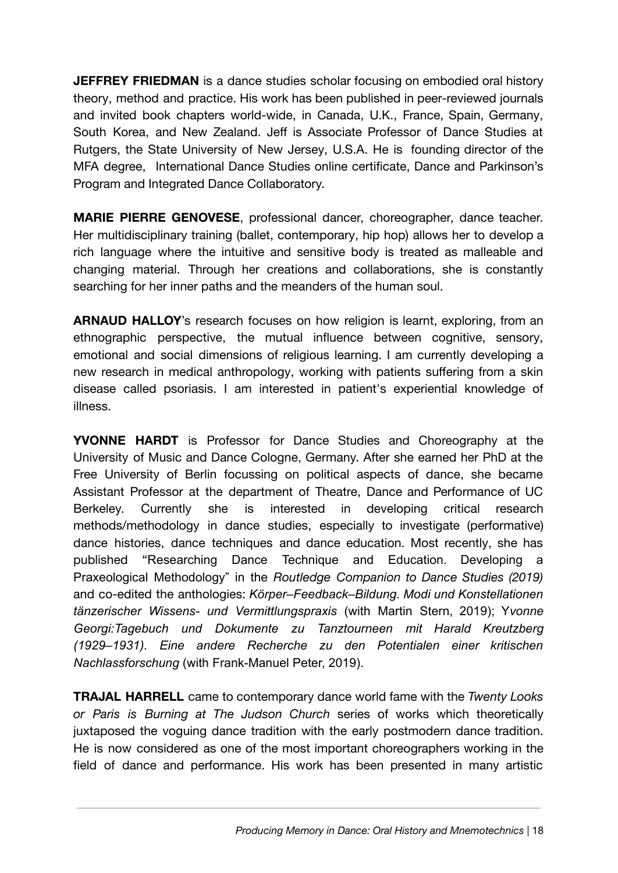**JEFFREY FRIEDMAN** is a dance studies scholar focusing on embodied oral history theory, method and practice. His work has been published in peer-reviewed journals and invited book chapters world-wide, in Canada, U.K., France, Spain, Germany, South Korea, and New Zealand. Jeff is Associate Professor of Dance Studies at Rutgers, the State University of New Jersey, U.S.A. He is founding director of the MFA degree, International Dance Studies online certificate, Dance and Parkinson's Program and Integrated Dance Collaboratory.

**MARIE PIERRE GENOVESE**, professional dancer, choreographer, dance teacher. Her multidisciplinary training (ballet, contemporary, hip hop) allows her to develop a rich language where the intuitive and sensitive body is treated as malleable and changing material. Through her creations and collaborations, she is constantly searching for her inner paths and the meanders of the human soul.

**ARNAUD HALLOY**'s research focuses on how religion is learnt, exploring, from an ethnographic perspective, the mutual influence between cognitive, sensory, emotional and social dimensions of religious learning. I am currently developing a new research in medical anthropology, working with patients suffering from a skin disease called psoriasis. I am interested in patient's experiential knowledge of illness.

**YVONNE HARDT** is Professor for Dance Studies and Choreography at the University of Music and Dance Cologne, Germany. After she earned her PhD at the Free University of Berlin focussing on political aspects of dance, she became Assistant Professor at the department of Theatre, Dance and Performance of UC Berkeley. Currently she is interested in developing critical research methods/methodology in dance studies, especially to investigate (performative) dance histories, dance techniques and dance education. Most recently, she has published "Researching Dance Technique and Education. Developing a Praxeological Methodology" in the *Routledge Companion to Dance Studies (2019)* and co-edited the anthologies: *Körper–Feedback–Bildung. Modi und Konstellationen tänzerischer Wissens- und Vermittlungspraxis* (with Martin Stern, 2019); Y*vonne Georgi:Tagebuch und Dokumente zu Tanztourneen mit Harald Kreutzberg (1929–1931). Eine andere Recherche zu den Potentialen einer kritischen Nachlassforschung* (with Frank-Manuel Peter, 2019).

**TRAJAL HARRELL** came to contemporary dance world fame with the *Twenty Looks or Paris is Burning at The Judson Church* series of works which theoretically juxtaposed the voguing dance tradition with the early postmodern dance tradition. He is now considered as one of the most important choreographers working in the field of dance and performance. His work has been presented in many artistic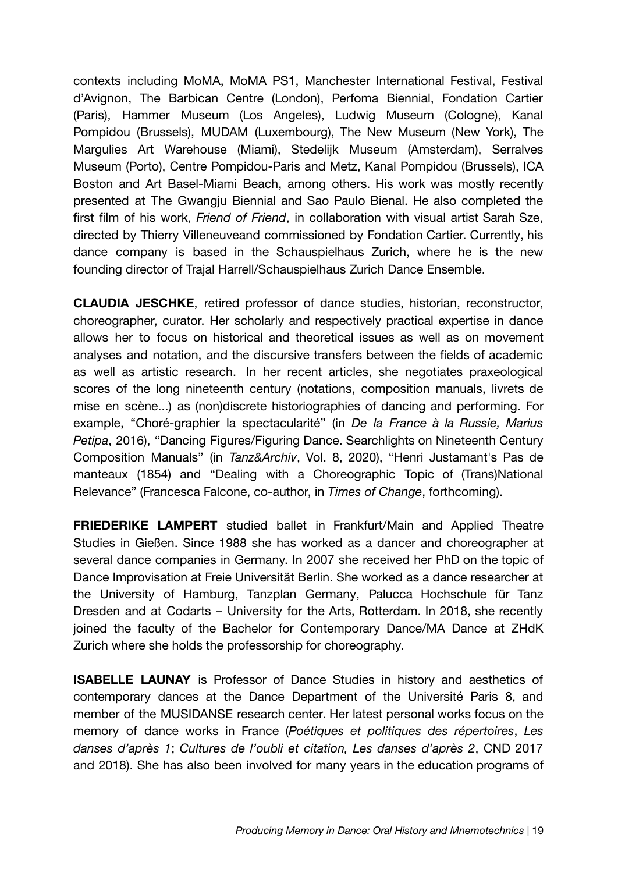contexts including MoMA, MoMA PS1, Manchester International Festival, Festival d'Avignon, The Barbican Centre (London), Perfoma Biennial, Fondation Cartier (Paris), Hammer Museum (Los Angeles), Ludwig Museum (Cologne), Kanal Pompidou (Brussels), MUDAM (Luxembourg), The New Museum (New York), The Margulies Art Warehouse (Miami), Stedelijk Museum (Amsterdam), Serralves Museum (Porto), Centre Pompidou-Paris and Metz, Kanal Pompidou (Brussels), ICA Boston and Art Basel-Miami Beach, among others. His work was mostly recently presented at The Gwangju Biennial and Sao Paulo Bienal. He also completed the first film of his work, *Friend of Friend*, in collaboration with visual artist Sarah Sze, directed by Thierry Villeneuveand commissioned by Fondation Cartier. Currently, his dance company is based in the Schauspielhaus Zurich, where he is the new founding director of Trajal Harrell/Schauspielhaus Zurich Dance Ensemble.

**CLAUDIA JESCHKE**, retired professor of dance studies, historian, reconstructor, choreographer, curator. Her scholarly and respectively practical expertise in dance allows her to focus on historical and theoretical issues as well as on movement analyses and notation, and the discursive transfers between the fields of academic as well as artistic research. In her recent articles, she negotiates praxeological scores of the long nineteenth century (notations, composition manuals, livrets de mise en scène...) as (non)discrete historiographies of dancing and performing. For example, "Choré-graphier la spectacularité" (in *De la France à la Russie, Marius Petipa*, 2016), "Dancing Figures/Figuring Dance. Searchlights on Nineteenth Century Composition Manuals" (in *Tanz&Archiv*, Vol. 8, 2020), "Henri Justamant's Pas de manteaux (1854) and "Dealing with a Choreographic Topic of (Trans)National Relevance" (Francesca Falcone, co-author, in *Times of Change*, forthcoming).

**FRIEDERIKE LAMPERT** studied ballet in Frankfurt/Main and Applied Theatre Studies in Gießen. Since 1988 she has worked as a dancer and choreographer at several dance companies in Germany. In 2007 she received her PhD on the topic of Dance Improvisation at Freie Universität Berlin. She worked as a dance researcher at the University of Hamburg, Tanzplan Germany, Palucca Hochschule für Tanz Dresden and at Codarts – University for the Arts, Rotterdam. In 2018, she recently joined the faculty of the Bachelor for Contemporary Dance/MA Dance at ZHdK Zurich where she holds the professorship for choreography.

**ISABELLE LAUNAY** is Professor of Dance Studies in history and aesthetics of contemporary dances at the Dance Department of the Université Paris 8, and member of the MUSIDANSE research center. Her latest personal works focus on the memory of dance works in France (*Poétiques et politiques des répertoires*, *Les danses d'après 1*; *Cultures de l'oubli et citation, Les danses d'après 2*, CND 2017 and 2018). She has also been involved for many years in the education programs of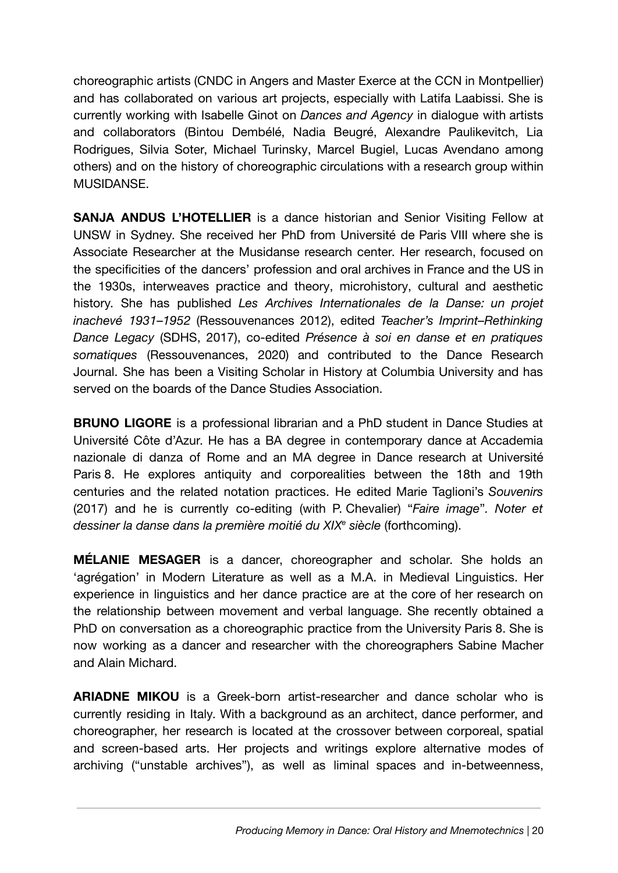choreographic artists (CNDC in Angers and Master Exerce at the CCN in Montpellier) and has collaborated on various art projects, especially with Latifa Laabissi. She is currently working with Isabelle Ginot on *Dances and Agency* in dialogue with artists and collaborators (Bintou Dembélé, Nadia Beugré, Alexandre Paulikevitch, Lia Rodrigues, Silvia Soter, Michael Turinsky, Marcel Bugiel, Lucas Avendano among others) and on the history of choreographic circulations with a research group within MUSIDANSE.

**SANJA ANDUS L'HOTELLIER** is a dance historian and Senior Visiting Fellow at UNSW in Sydney. She received her PhD from Université de Paris VIII where she is Associate Researcher at the Musidanse research center. Her research, focused on the specificities of the dancers' profession and oral archives in France and the US in the 1930s, interweaves practice and theory, microhistory, cultural and aesthetic history. She has published *Les Archives Internationales de la Danse: un projet inachevé 1931*–*1952* (Ressouvenances 2012), edited *Teacher's Imprint–Rethinking Dance Legacy* (SDHS, 2017), co-edited *Présence à soi en danse et en pratiques somatiques* (Ressouvenances, 2020) and contributed to the Dance Research Journal. She has been a Visiting Scholar in History at Columbia University and has served on the boards of the Dance Studies Association.

**BRUNO LIGORE** is a professional librarian and a PhD student in Dance Studies at Université Côte d'Azur. He has a BA degree in contemporary dance at Accademia nazionale di danza of Rome and an MA degree in Dance research at Université Paris 8. He explores antiquity and corporealities between the 18th and 19th centuries and the related notation practices. He edited Marie Taglioni's *Souvenirs* (2017) and he is currently co-editing (with P. Chevalier) "*Faire image*"*. Noter et dessiner la danse dans la première moitié du XIX<sup>e</sup> siècle* (forthcoming).

**MÉLANIE MESAGER** is a dancer, choreographer and scholar. She holds an 'agrégation' in Modern Literature as well as a M.A. in Medieval Linguistics. Her experience in linguistics and her dance practice are at the core of her research on the relationship between movement and verbal language. She recently obtained a PhD on conversation as a choreographic practice from the University Paris 8. She is now working as a dancer and researcher with the choreographers Sabine Macher and Alain Michard.

**ARIADNE MIKOU** is a Greek-born artist-researcher and dance scholar who is currently residing in Italy. With a background as an architect, dance performer, and choreographer, her research is located at the crossover between corporeal, spatial and screen-based arts. Her projects and writings explore alternative modes of archiving ("unstable archives"), as well as liminal spaces and in-betweenness,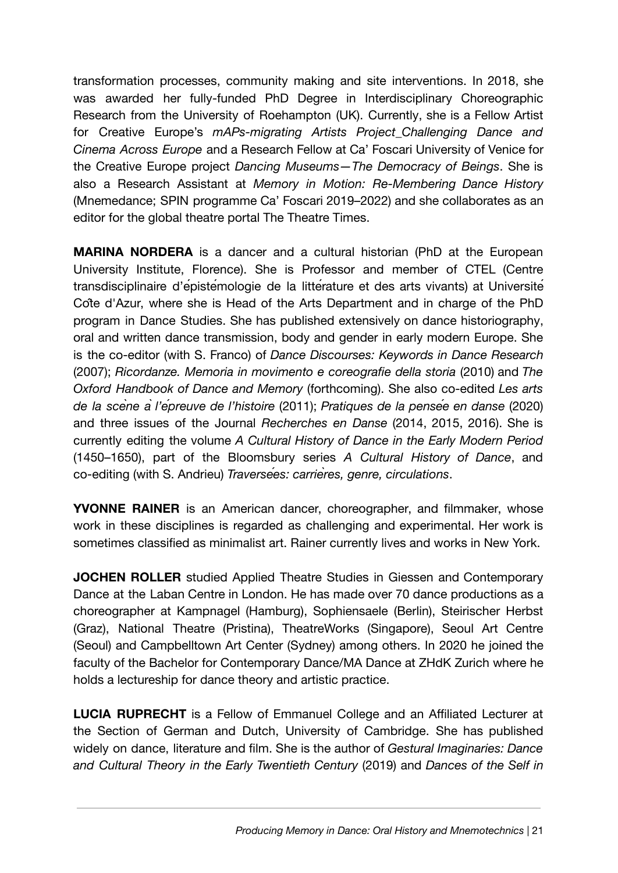transformation processes, community making and site interventions. In 2018, she was awarded her fully-funded PhD Degree in Interdisciplinary Choreographic Research from the University of Roehampton (UK). Currently, she is a Fellow Artist for Creative Europe's *mAPs-migrating Artists Project\_Challenging Dance and Cinema Across Europe* and a Research Fellow at Ca' Foscari University of Venice for the Creative Europe project *Dancing Museums—The Democracy of Beings*. She is also a Research Assistant at *Memory in Motion: Re-Membering Dance History* (Mnemedance; SPIN programme Ca' Foscari 2019–2022) and she collaborates as an editor for the global theatre portal The Theatre Times.

**MARINA NORDERA** is a dancer and a cultural historian (PhD at the European University Institute, Florence). She is Professor and member of CTEL (Centre transdisciplinaire d'épistémologie de la littérature et des arts vivants) at Université Côte d'Azur, where she is Head of the Arts Department and in charge of the PhD program in Dance Studies. She has published extensively on dance historiography, oral and written dance transmission, body and gender in early modern Europe. She is the co-editor (with S. Franco) of *Dance Discourses: Keywords in Dance Research* (2007); *Ricordanze. Memoria in movimento e coreografie della storia* (2010) and *The Oxford Handbook of Dance and Memory* (forthcoming). She also co-edited *Les arts* de la scène à l'épreuve de l'histoire (2011); Pratiques de la pensée en danse (2020) and three issues of the Journal *Recherches en Danse* (2014, 2015, 2016). She is currently editing the volume *A Cultural History of Dance in the Early Modern Period* (1450–1650), part of the Bloomsbury series *A Cultural History of Dance*, and co-editing (with S. Andrieu) *Traversées: carrières, genre, circulations*.

**YVONNE RAINER** is an American dancer, choreographer, and filmmaker, whose work in these disciplines is regarded as challenging and experimental. Her work is sometimes classified as minimalist art. Rainer currently lives and works in New York.

**JOCHEN ROLLER** studied Applied Theatre Studies in Giessen and Contemporary Dance at the Laban Centre in London. He has made over 70 dance productions as a choreographer at Kampnagel (Hamburg), Sophiensaele (Berlin), Steirischer Herbst (Graz), National Theatre (Pristina), TheatreWorks (Singapore), Seoul Art Centre (Seoul) and Campbelltown Art Center (Sydney) among others. In 2020 he joined the faculty of the Bachelor for Contemporary Dance/MA Dance at ZHdK Zurich where he holds a lectureship for dance theory and artistic practice.

**LUCIA RUPRECHT** is a Fellow of Emmanuel College and an Affiliated Lecturer at the Section of German and Dutch, University of Cambridge. She has published widely on dance, literature and film. She is the author of *Gestural Imaginaries: Dance and Cultural Theory in the Early Twentieth Century* (2019) and *Dances of the Self in*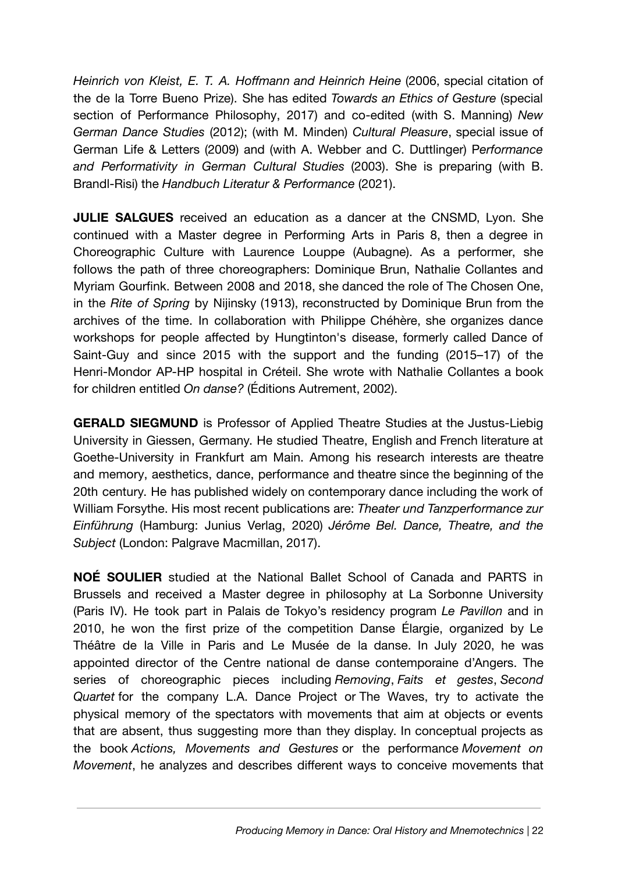*Heinrich von Kleist, E. T. A. Hoffmann and Heinrich Heine* (2006, special citation of the de la Torre Bueno Prize). She has edited *Towards an Ethics of Gesture* (special section of Performance Philosophy, 2017) and co-edited (with S. Manning) *New German Dance Studies* (2012); (with M. Minden) *Cultural Pleasure*, special issue of German Life & Letters (2009) and (with A. Webber and C. Duttlinger) P*erformance and Performativity in German Cultural Studies* (2003). She is preparing (with B. Brandl-Risi) the *Handbuch Literatur & Performance* (2021).

**JULIE SALGUES** received an education as a dancer at the CNSMD, Lyon. She continued with a Master degree in Performing Arts in Paris 8, then a degree in Choreographic Culture with Laurence Louppe (Aubagne). As a performer, she follows the path of three choreographers: Dominique Brun, Nathalie Collantes and Myriam Gourfink. Between 2008 and 2018, she danced the role of The Chosen One, in the *Rite of Spring* by Nijinsky (1913), reconstructed by Dominique Brun from the archives of the time. In collaboration with Philippe Chéhère, she organizes dance workshops for people affected by Hungtinton's disease, formerly called Dance of Saint-Guy and since 2015 with the support and the funding (2015–17) of the Henri-Mondor AP-HP hospital in Créteil. She wrote with Nathalie Collantes a book for children entitled *On danse?* (Éditions Autrement, 2002).

**GERALD SIEGMUND** is Professor of Applied Theatre Studies at the Justus-Liebig University in Giessen, Germany. He studied Theatre, English and French literature at Goethe-University in Frankfurt am Main. Among his research interests are theatre and memory, aesthetics, dance, performance and theatre since the beginning of the 20th century. He has published widely on contemporary dance including the work of William Forsythe. His most recent publications are: *Theater und Tanzperformance zur Einführung* (Hamburg: Junius Verlag, 2020) *Jérôme Bel. Dance, Theatre, and the Subject* (London: Palgrave Macmillan, 2017).

**NOÉ SOULIER** studied at the National Ballet School of Canada and PARTS in Brussels and received a Master degree in philosophy at La Sorbonne University (Paris IV). He took part in Palais de Tokyo's residency program *Le Pavillon* and in 2010, he won the first prize of the competition Danse Élargie, organized by Le Théâtre de la Ville in Paris and Le Musée de la danse. In July 2020, he was appointed director of the Centre national de danse contemporaine d'Angers. The series of choreographic pieces including *Removing*, *Faits et gestes*, *Second Quartet* for the company L.A. Dance Project or The Waves, try to activate the physical memory of the spectators with movements that aim at objects or events that are absent, thus suggesting more than they display. In conceptual projects as the book *Actions, Movements and Gestures* or the performance *Movement on Movement*, he analyzes and describes different ways to conceive movements that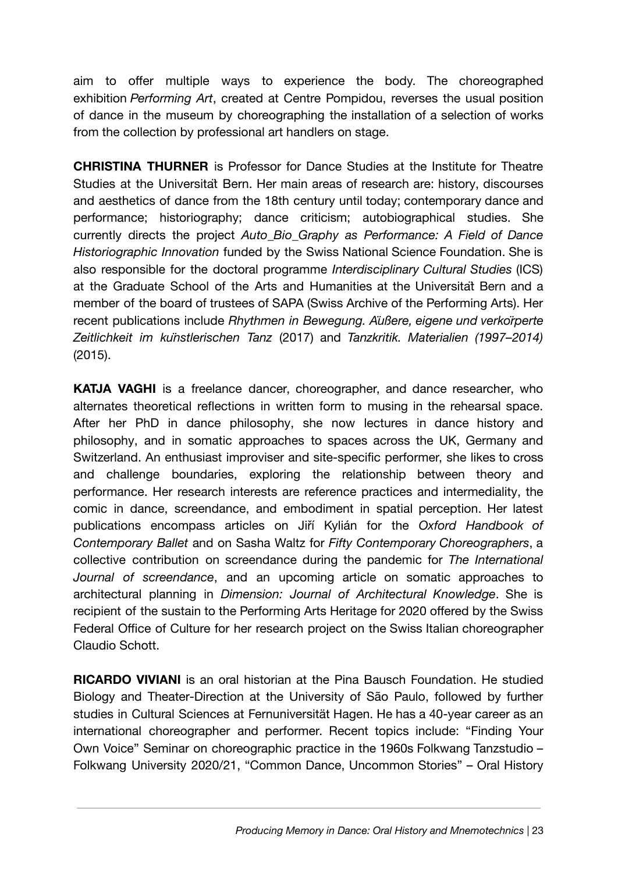aim to offer multiple ways to experience the body. The choreographed exhibition *Performing Art*, created at Centre Pompidou, reverses the usual position of dance in the museum by choreographing the installation of a selection of works from the collection by professional art handlers on stage.

**CHRISTINA THURNER** is Professor for Dance Studies at the Institute for Theatre Studies at the Universität Bern. Her main areas of research are: history, discourses and aesthetics of dance from the 18th century until today; contemporary dance and performance; historiography; dance criticism; autobiographical studies. She currently directs the project *Auto\_Bio\_Graphy as Performance: A Field of Dance Historiographic Innovation* funded by the Swiss National Science Foundation. She is also responsible for the doctoral programme *Interdisciplinary Cultural Studies* (ICS) at the Graduate School of the Arts and Humanities at the Universität Bern and a member of the board of trustees of SAPA (Swiss Archive of the Performing Arts). Her recent publications include *Rhythmen in Bewegung. Äußere, eigene und verkörperte Zeitlichkeit im künstlerischen Tanz* (2017) and *Tanzkritik. Materialien (1997–2014)* (2015).

**KATJA VAGHI** is a freelance dancer, choreographer, and dance researcher, who alternates theoretical reflections in written form to musing in the rehearsal space. After her PhD in dance philosophy, she now lectures in dance history and philosophy, and in somatic approaches to spaces across the UK, Germany and Switzerland. An enthusiast improviser and site-specific performer, she likes to cross and challenge boundaries, exploring the relationship between theory and performance. Her research interests are reference practices and intermediality, the comic in dance, screendance, and embodiment in spatial perception. Her latest publications encompass articles on Jiří Kylián for the *Oxford Handbook of Contemporary Ballet* and on Sasha Waltz for *Fifty Contemporary Choreographers*, a collective contribution on screendance during the pandemic for *The International Journal of screendance*, and an upcoming article on somatic approaches to architectural planning in *Dimension: Journal of Architectural Knowledge*. She is recipient of the sustain to the Performing Arts Heritage for 2020 offered by the Swiss Federal Office of Culture for her research project on the Swiss Italian choreographer Claudio Schott.

**RICARDO VIVIANI** is an oral historian at the Pina Bausch Foundation. He studied Biology and Theater-Direction at the University of São Paulo, followed by further studies in Cultural Sciences at Fernuniversität Hagen. He has a 40-year career as an international choreographer and performer. Recent topics include: "Finding Your Own Voice" Seminar on choreographic practice in the 1960s Folkwang Tanzstudio – Folkwang University 2020/21, "Common Dance, Uncommon Stories" – Oral History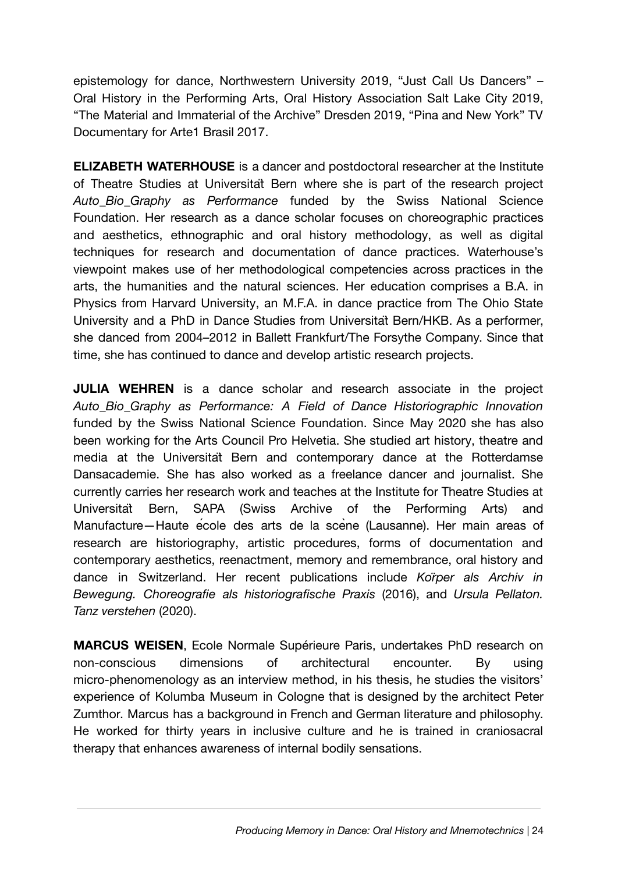epistemology for dance, Northwestern University 2019, "Just Call Us Dancers" – Oral History in the Performing Arts, Oral History Association Salt Lake City 2019, "The Material and Immaterial of the Archive" Dresden 2019, "Pina and New York" TV Documentary for Arte1 Brasil 2017.

**ELIZABETH WATERHOUSE** is a dancer and postdoctoral researcher at the Institute of Theatre Studies at Universität Bern where she is part of the research project *Auto\_Bio\_Graphy as Performance* funded by the Swiss National Science Foundation. Her research as a dance scholar focuses on choreographic practices and aesthetics, ethnographic and oral history methodology, as well as digital techniques for research and documentation of dance practices. Waterhouse's viewpoint makes use of her methodological competencies across practices in the arts, the humanities and the natural sciences. Her education comprises a B.A. in Physics from Harvard University, an M.F.A. in dance practice from The Ohio State University and a PhD in Dance Studies from Universität Bern/HKB. As a performer, she danced from 2004–2012 in Ballett Frankfurt/The Forsythe Company. Since that time, she has continued to dance and develop artistic research projects.

**JULIA WEHREN** is a dance scholar and research associate in the project *Auto\_Bio\_Graphy as Performance: A Field of Dance Historiographic Innovation* funded by the Swiss National Science Foundation. Since May 2020 she has also been working for the Arts Council Pro Helvetia. She studied art history, theatre and media at the Universität Bern and contemporary dance at the Rotterdamse Dansacademie. She has also worked as a freelance dancer and journalist. She currently carries her research work and teaches at the Institute for Theatre Studies at Universität Bern, SAPA (Swiss Archive of the Performing Arts) and Manufacture—Haute école des arts de la scène (Lausanne). Her main areas of research are historiography, artistic procedures, forms of documentation and contemporary aesthetics, reenactment, memory and remembrance, oral history and dance in Switzerland. Her recent publications include *Körper als Archiv in Bewegung. Choreografie als historiografische Praxis* (2016), and *Ursula Pellaton. Tanz verstehen* (2020).

**MARCUS WEISEN**, Ecole Normale Supérieure Paris, undertakes PhD research on non-conscious dimensions of architectural encounter. By using micro-phenomenology as an interview method, in his thesis, he studies the visitors' experience of Kolumba Museum in Cologne that is designed by the architect Peter Zumthor. Marcus has a background in French and German literature and philosophy. He worked for thirty years in inclusive culture and he is trained in craniosacral therapy that enhances awareness of internal bodily sensations.